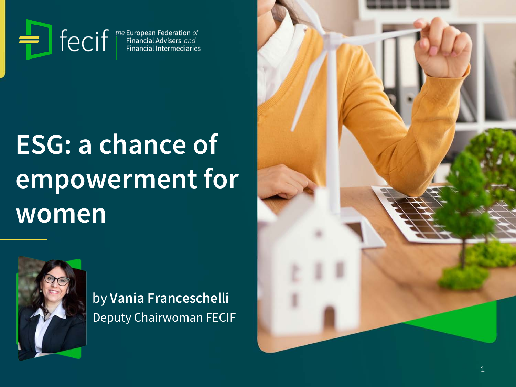Fecif<sup>the European Federation of</sup><br>Financial Advisers and<br>Financial Intermediaries

# **ESG: a chance of empowerment for women**



by **Vania Franceschelli** Deputy Chairwoman FECIF

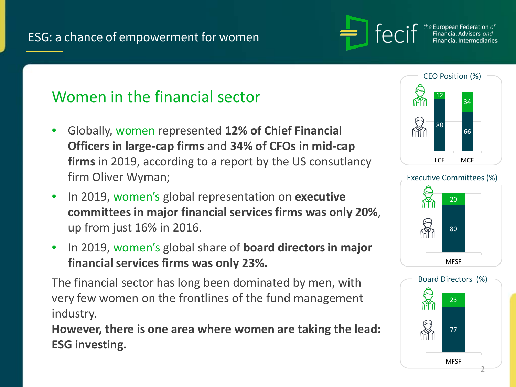

he **European Federation** of Financial Intermediaries

# Women in the financial sector

- Globally, women represented **12% of Chief Financial Officers in large-cap firms** and **34% of CFOs in mid-cap firms** in 2019, according to a report by the US consutlancy firm Oliver Wyman;
- In 2019, women's global representation on **executive committees in major financial services firms was only 20%**, up from just 16% in 2016.
- In 2019, women's global share of **board directors in major financial services firms was only 23%.**

The financial sector has long been dominated by men, with very few women on the frontlines of the fund management industry.

**However, there is one area where women are taking the lead: ESG investing.**





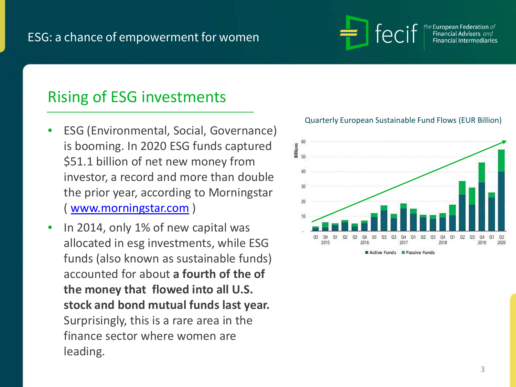### ESG: a chance of empowerment for women



European Federation *of* 

# Rising of ESG investments

- ESG (Environmental, Social, Governance) is booming. In 2020 ESG funds captured \$51.1 billion of net new money from investor, a record and more than double the prior year, according to Morningstar ( [www.morningstar.com](http://www.morningstar.com/) )
- In 2014, only 1% of new capital was allocated in esg investments, while ESG funds (also known as sustainable funds) accounted for about **a fourth of the of the money that flowed into all U.S. stock and bond mutual funds last year.**  Surprisingly, this is a rare area in the finance sector where women are leading.



#### Quarterly European Sustainable Fund Flows (EUR Billion)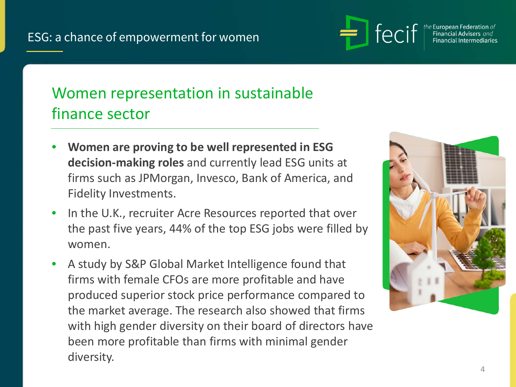

the European Federation of Financial Advisers and Financial Intermediaries

# Women representation in sustainable finance sector

- **Women are proving to be well represented in ESG decision-making roles** and currently lead ESG units at firms such as JPMorgan, Invesco, Bank of America, and Fidelity Investments.
- In the U.K., recruiter Acre Resources reported that over the past five years, 44% of the top ESG jobs were filled by women.
- A study by S&P Global Market Intelligence found that firms with female CFOs are more profitable and have produced superior stock price performance compared to the market average. The research also showed that firms with high gender diversity on their board of directors have been more profitable than firms with minimal gender diversity.

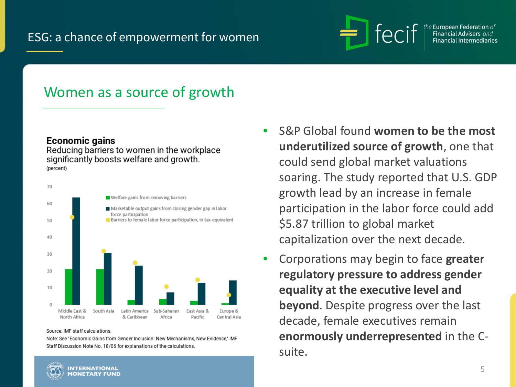### ESG: a chance of empowerment for women



e European Federation  $of$ 

### Women as a source of growth

#### **Economic gains**

Reducing barriers to women in the workplace significantly boosts welfare and growth. (percent)



Source: IMF staff calculations.

Note: See "Economic Gains from Gender Inclusion: New Mechanisms, New Evidence," IMF Staff Discussion Note No. 18/06 for explanations of the calculations.

- S&P Global found **women to be the most underutilized source of growth**, one that could send global market valuations soaring. The study reported that U.S. GDP growth lead by an increase in female participation in the labor force could add \$5.87 trillion to global market capitalization over the next decade.
- Corporations may begin to face **greater regulatory pressure to address gender equality at the executive level and beyond**. Despite progress over the last decade, female executives remain **enormously underrepresented** in the Csuite.

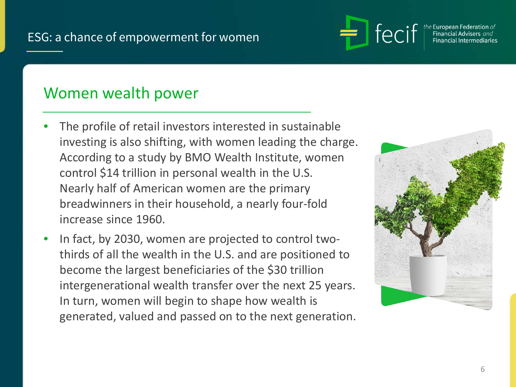

the European Federation of inancial Intermediaries

# Women wealth power

- The profile of retail investors interested in sustainable investing is also shifting, with women leading the charge. According to a study by BMO Wealth Institute, women control \$14 trillion in personal wealth in the U.S. Nearly half of American women are the primary breadwinners in their household, a nearly four-fold increase since 1960.
- In fact, by 2030, women are projected to control twothirds of all the wealth in the U.S. and are positioned to become the largest beneficiaries of the \$30 trillion intergenerational wealth transfer over the next 25 years. In turn, women will begin to shape how wealth is generated, valued and passed on to the next generation.

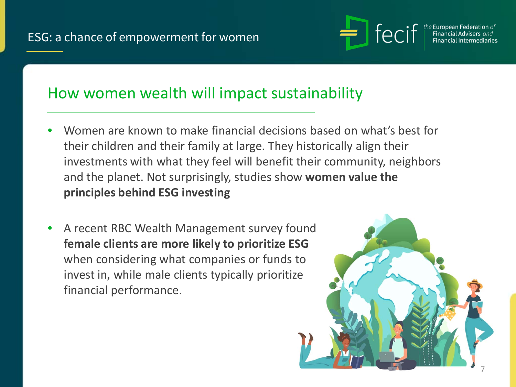

e European Federation *of* 

# How women wealth will impact sustainability

- Women are known to make financial decisions based on what's best for their children and their family at large. They historically align their investments with what they feel will benefit their community, neighbors and the planet. Not surprisingly, studies show **women value the principles behind ESG investing**
- A recent RBC Wealth Management survey found **female clients are more likely to prioritize ESG** when considering what companies or funds to invest in, while male clients typically prioritize financial performance.

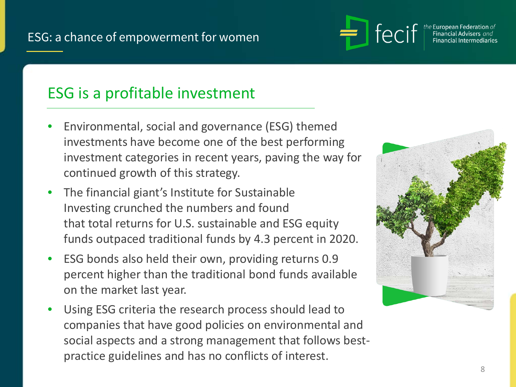

the European Federation  $of$ inancial Intermediaries

# ESG is a profitable investment

- Environmental, social and governance (ESG) themed investments have become one of the best performing investment categories in recent years, paving the way for continued growth of this strategy.
- The financial giant's Institute for Sustainable Investing crunched the numbers and found that total returns for U.S. sustainable and ESG equity funds outpaced traditional funds by 4.3 percent in 2020.
- ESG bonds also held their own, providing returns 0.9 percent higher than the traditional bond funds available on the market last year.
- Using ESG criteria the research process should lead to companies that have good policies on environmental and social aspects and a strong management that follows bestpractice guidelines and has no conflicts of interest.

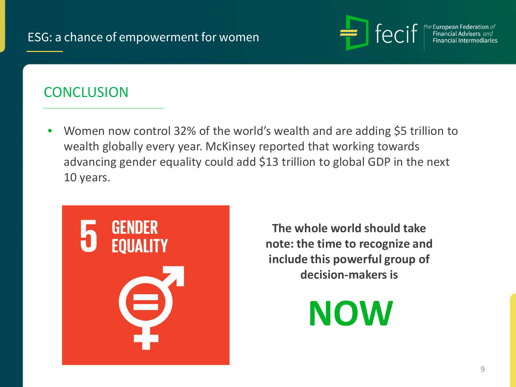### ESG: a chance of empowerment for women



e European Federation of

### **CONCLUSION**

• Women now control 32% of the world's wealth and are adding \$5 trillion to wealth globally every year. McKinsey reported that working towards advancing gender equality could add \$13 trillion to global GDP in the next 10 years.



**The whole world should take note: the time to recognize and include this powerful group of decision-makers is**

**NOW**